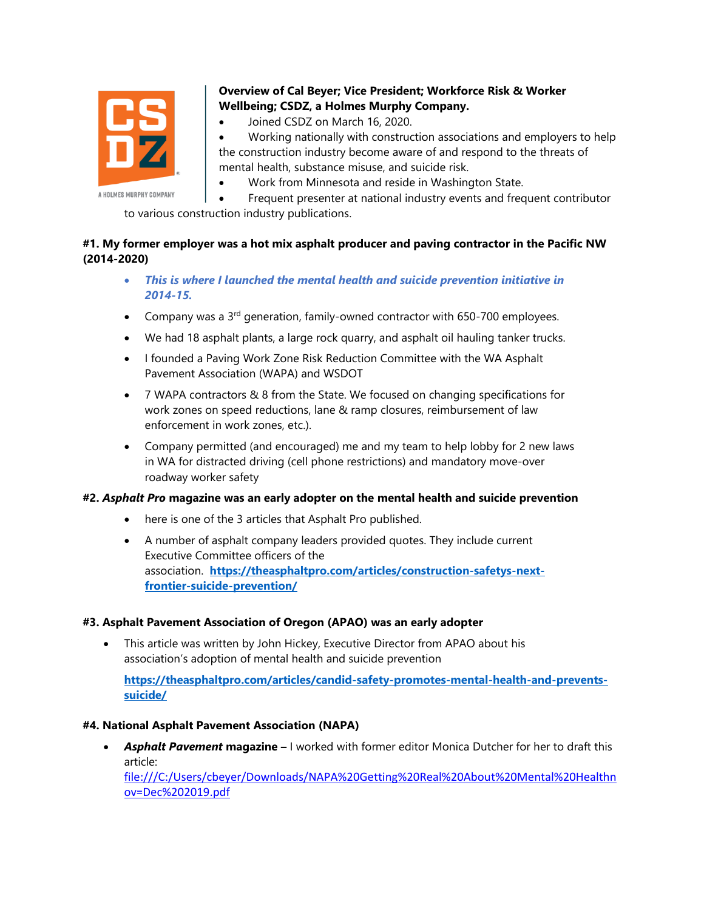

# **Overview of Cal Beyer; Vice President; Workforce Risk & Worker Wellbeing; CSDZ, a Holmes Murphy Company.**

• Joined CSDZ on March 16, 2020.

• Working nationally with construction associations and employers to help the construction industry become aware of and respond to the threats of mental health, substance misuse, and suicide risk.

• Work from Minnesota and reside in Washington State.

• Frequent presenter at national industry events and frequent contributor to various construction industry publications.

## **#1. My former employer was a hot mix asphalt producer and paving contractor in the Pacific NW (2014-2020)**

- *This is where I launched the mental health and suicide prevention initiative in 2014-15.*
- Company was a 3<sup>rd</sup> generation, family-owned contractor with 650-700 employees.
- We had 18 asphalt plants, a large rock quarry, and asphalt oil hauling tanker trucks.
- I founded a Paving Work Zone Risk Reduction Committee with the WA Asphalt Pavement Association (WAPA) and WSDOT
- 7 WAPA contractors & 8 from the State. We focused on changing specifications for work zones on speed reductions, lane & ramp closures, reimbursement of law enforcement in work zones, etc.).
- Company permitted (and encouraged) me and my team to help lobby for 2 new laws in WA for distracted driving (cell phone restrictions) and mandatory move-over roadway worker safety

#### **#2.** *Asphalt Pro* **magazine was an early adopter on the mental health and suicide prevention**

- here is one of the 3 articles that Asphalt Pro published.
- A number of asphalt company leaders provided quotes. They include current Executive Committee officers of the association. **[https://theasphaltpro.com/articles/construction-safetys-next](https://theasphaltpro.com/articles/construction-safetys-next-frontier-suicide-prevention/)[frontier-suicide-prevention/](https://theasphaltpro.com/articles/construction-safetys-next-frontier-suicide-prevention/)**

#### **#3. Asphalt Pavement Association of Oregon (APAO) was an early adopter**

• This article was written by John Hickey, Executive Director from APAO about his association's adoption of mental health and suicide prevention

**[https://theasphaltpro.com/articles/candid-safety-promotes-mental-health-and-prevents](https://theasphaltpro.com/articles/candid-safety-promotes-mental-health-and-prevents-suicide/)[suicide/](https://theasphaltpro.com/articles/candid-safety-promotes-mental-health-and-prevents-suicide/)**

#### **#4. National Asphalt Pavement Association (NAPA)**

• **Asphalt Pavement magazine –** I worked with former editor Monica Dutcher for her to draft this article:

[file:///C:/Users/cbeyer/Downloads/NAPA%20Getting%20Real%20About%20Mental%20Healthn](file:///C:/Users/cbeyer/Downloads/NAPA%20Getting%20Real%20About%20Mental%20Healthnov=Dec%202019.pdf) [ov=Dec%202019.pdf](file:///C:/Users/cbeyer/Downloads/NAPA%20Getting%20Real%20About%20Mental%20Healthnov=Dec%202019.pdf)